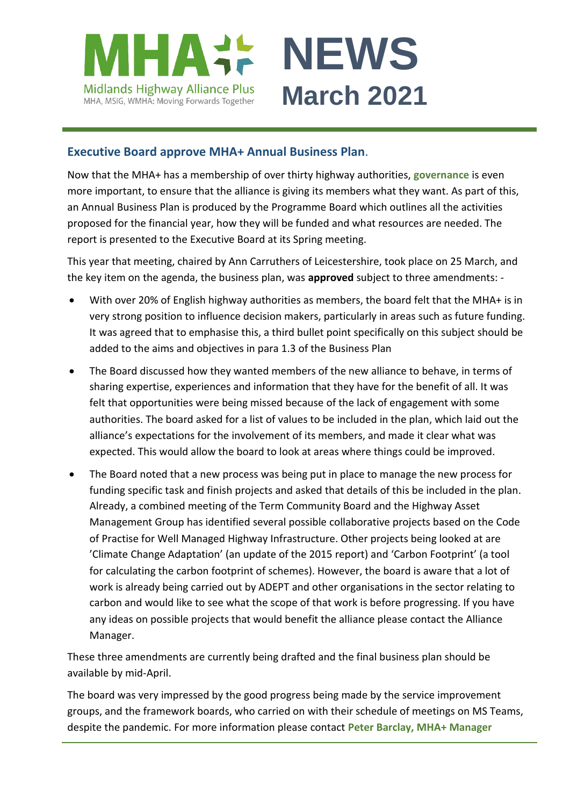

#### **Executive Board approve MHA+ Annual Business Plan**.

Now that the MHA+ has a membership of over thirty highway authorities, **[governance](https://www.mhaplus.org.uk/about-us/governance/)** is even more important, to ensure that the alliance is giving its members what they want. As part of this, an Annual Business Plan is produced by the Programme Board which outlines all the activities proposed for the financial year, how they will be funded and what resources are needed. The report is presented to the Executive Board at its Spring meeting.

This year that meeting, chaired by Ann Carruthers of Leicestershire, took place on 25 March, and the key item on the agenda, the business plan, was **approved** subject to three amendments: -

- With over 20% of English highway authorities as members, the board felt that the MHA+ is in very strong position to influence decision makers, particularly in areas such as future funding. It was agreed that to emphasise this, a third bullet point specifically on this subject should be added to the aims and objectives in para 1.3 of the Business Plan
- The Board discussed how they wanted members of the new alliance to behave, in terms of sharing expertise, experiences and information that they have for the benefit of all. It was felt that opportunities were being missed because of the lack of engagement with some authorities. The board asked for a list of values to be included in the plan, which laid out the alliance's expectations for the involvement of its members, and made it clear what was expected. This would allow the board to look at areas where things could be improved.
- The Board noted that a new process was being put in place to manage the new process for funding specific task and finish projects and asked that details of this be included in the plan. Already, a combined meeting of the Term Community Board and the Highway Asset Management Group has identified several possible collaborative projects based on the Code of Practise for Well Managed Highway Infrastructure. Other projects being looked at are 'Climate Change Adaptation' (an update of the 2015 report) and 'Carbon Footprint' (a tool for calculating the carbon footprint of schemes). However, the board is aware that a lot of work is already being carried out by ADEPT and other organisations in the sector relating to carbon and would like to see what the scope of that work is before progressing. If you have any ideas on possible projects that would benefit the alliance please contact the Alliance Manager.

These three amendments are currently being drafted and the final business plan should be available by mid-April.

The board was very impressed by the good progress being made by the service improvement groups, and the framework boards, who carried on with their schedule of meetings on MS Teams, despite the pandemic. For more information please contact **[Peter Barclay, MHA+ Manager](mailto:peter.barclay@leics.gov.uk)**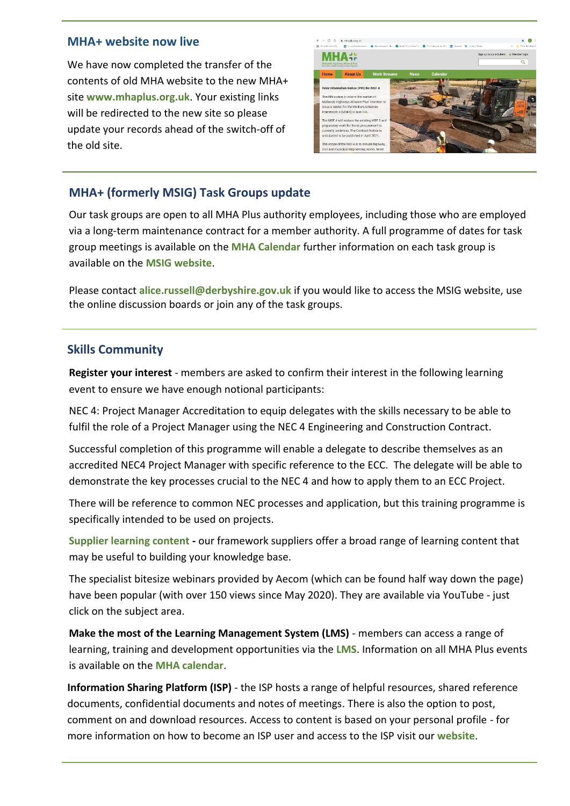#### **MHA+ website now live**

We have now completed the transfer of the contents of old MHA website to the new MHA+ site **[www.mhaplus.org.uk](http://www.mhaplus.org.uk/)**. Your existing links will be redirected to the new site so please update your records ahead of the switch-off of the old site.



# **MHA+ (formerly MSIG) Task Groups update**

Our task groups are open to all MHA Plus authority employees, including those who are employed via a long-term maintenance contract for a member authority. A full programme of dates for task group meetings is available on the **[MHA Calendar](https://www.mhaplus.org.uk/calendar/)** further information on each task group is available on the **[MSIG website](https://msig.econtrack.com/Content.aspx?1802)**.

Please contact **[alice.russell@derbyshire.gov.uk](mailto:alice.russell@derbyshire.gov.uk)** if you would like to access the MSIG website, use the online discussion boards or join any of the task groups.

### **Skills Community**

**Register your interest** - members are asked to confirm their interest in the following learning event to ensure we have enough notional participants:

NEC 4: Project Manager Accreditation to equip delegates with the skills necessary to be able to fulfil the role of a Project Manager using the NEC 4 Engineering and Construction Contract.

Successful completion of this programme will enable a delegate to describe themselves as an accredited NEC4 Project Manager with specific reference to the ECC. The delegate will be able to demonstrate the key processes crucial to the NEC 4 and how to apply them to an ECC Project.

There will be reference to common NEC processes and application, but this training programme is specifically intended to be used on projects.

**[Supplier learning content](https://www.mhaplus.org.uk/work-streams/skills-academy/learning-and-development/mha-supplier-learning-content/) -** our framework suppliers offer a broad range of learning content that may be useful to building your knowledge base.

The specialist bitesize webinars provided by Aecom (which can be found half way down the page) have been popular (with over 150 views since May 2020). They are available via YouTube - just click on the subject area.

**Make the most of the Learning Management System (LMS)** - members can access a range of learning, training and development opportunities via the **[LMS](https://mhaskills.virtual-college.co.uk/)**. Information on all MHA Plus events is available on the **[MHA calendar](https://www.mhaplus.org.uk/calendar/)**.

**Information Sharing Platform (ISP)** - the ISP hosts a range of helpful resources, shared reference documents, confidential documents and notes of meetings. There is also the option to post, comment on and download resources. Access to content is based on your personal profile - for more information on how to become an ISP user and access to the ISP visit our **[website](https://www.mhaplus.org.uk/member/)**.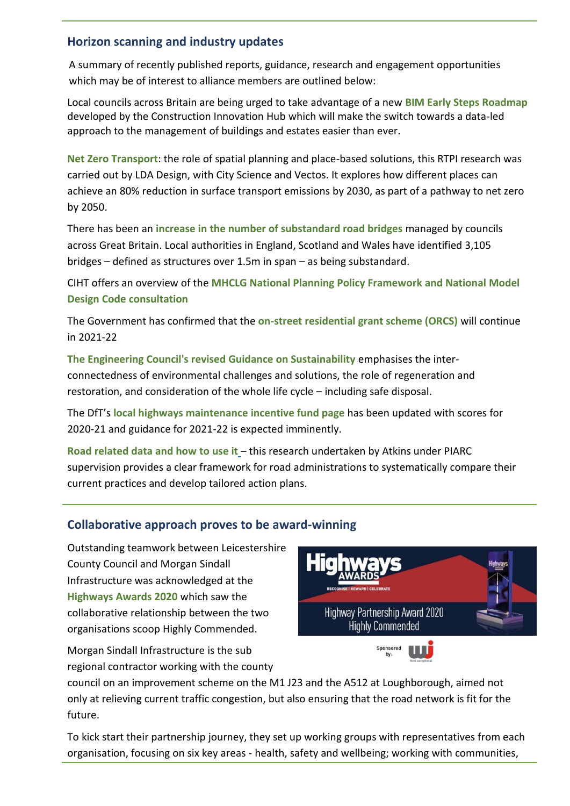## **Horizon scanning and industry updates**

A summary of recently published reports, guidance, research and engagement opportunities which may be of interest to alliance members are outlined below:

Local councils across Britain are being urged to take advantage of a new **[BIM Early Steps Roadmap](https://indd.adobe.com/view/7030aa3d-1382-4fc6-af46-f310d7a59cf8)** developed by the Construction Innovation Hub which will make the switch towards a data-led approach to the management of buildings and estates easier than ever.

**[Net Zero Transport](https://www.rtpi.org.uk/netzerotransport)**: the role of spatial planning and place-based solutions, this RTPI research was carried out by LDA Design, with City Science and Vectos. It explores how different places can achieve an 80% reduction in surface transport emissions by 2030, as part of a pathway to net zero by 2050.

There has been an **[increase in the number of substandard road bridges](https://www.racfoundation.org/media-centre/number-of-substandard-road-bridges-on-the-rise-again)** managed by councils across Great Britain. Local authorities in England, Scotland and Wales have identified 3,105 bridges – defined as structures over 1.5m in span – as being substandard.

CIHT offers an overview of the **[MHCLG National Planning Policy Framework and National Model](https://www.ciht.org.uk/news/mhclg-launch-national-planning-policy-framework-and-national-model-design-code-consultation/)  [Design Code consultation](https://www.ciht.org.uk/news/mhclg-launch-national-planning-policy-framework-and-national-model-design-code-consultation/)**

The Government has confirmed that the **[on-street residential grant scheme \(ORCS\)](https://www.smarttransport.org.uk/news/latest-news/government-commits-20m-to-increase-on-street-chargers)** will continue in 2021-22

**[The Engineering Council's revised Guidance on Sustainability](https://www.ciht.org.uk/news/the-engineering-council-has-updated-its-guidance-on-sustainability/)** emphasises the interconnectedness of environmental challenges and solutions, the role of regeneration and restoration, and consideration of the whole life cycle – including safe disposal.

The DfT's **[local highways maintenance incentive fund page](https://www.gov.uk/government/publications/highways-maintenance-funding-incentive-element#history)** has been updated with scores for 2020-21 and guidance for 2021-22 is expected imminently.

**[Road related data and how to use it](https://www.piarc.org/en/order-library/34599-en-Road%20Related%20Data%20and%20How%20to%20Use%20it)** – this research undertaken by Atkins under PIARC supervision provides a clear framework for road administrations to systematically compare their current practices and develop tailored action plans.

# **Collaborative approach proves to be award-winning**

Outstanding teamwork between Leicestershire County Council and Morgan Sindall Infrastructure was acknowledged at the **[Highways Awards 2020](https://www.highwaysmagazine.co.uk/Highways-Awards-Winners-revealed/8833)** which saw the collaborative relationship between the two organisations scoop Highly Commended.

Morgan Sindall Infrastructure is the sub regional contractor working with the county



council on an improvement scheme on the M1 J23 and the A512 at Loughborough, aimed not only at relieving current traffic congestion, but also ensuring that the road network is fit for the future.

To kick start their partnership journey, they set up working groups with representatives from each organisation, focusing on six key areas - health, safety and wellbeing; working with communities,